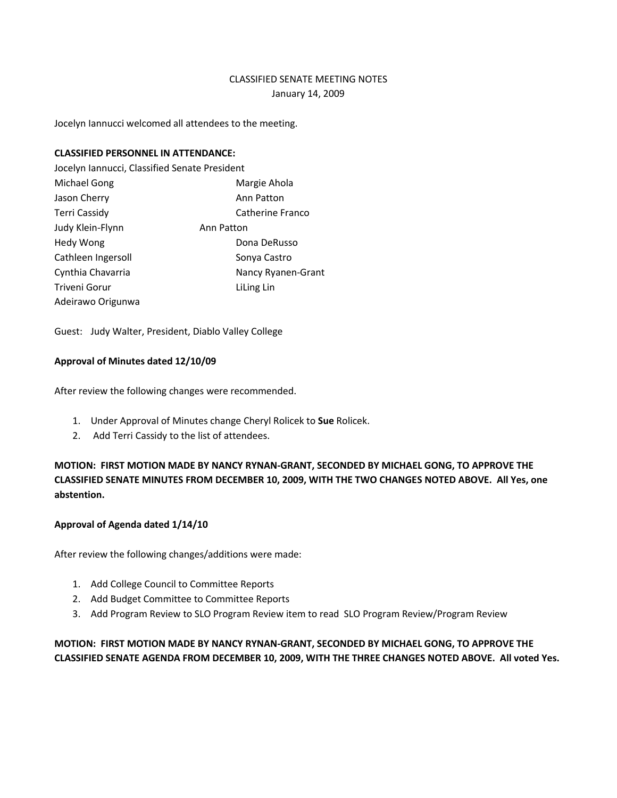# CLASSIFIED SENATE MEETING NOTES January 14, 2009

Jocelyn Iannucci welcomed all attendees to the meeting.

## **CLASSIFIED PERSONNEL IN ATTENDANCE:**

Jocelyn Iannucci, Classified Senate President Michael Gong **Margie Ahola** Jason Cherry **Annibus** Ann Patton Terri Cassidy **Catherine Franco** Judy Klein-Flynn **Ann Patton** Hedy Wong **Dona DeRusso** Bona DeRusso Cathleen Ingersoll Sonya Castro Cynthia Chavarria **Nancy Ryanen-Grant** Triveni Gorur **Litting Limber 1986** Adeirawo Origunwa

Guest: Judy Walter, President, Diablo Valley College

## **Approval of Minutes dated 12/10/09**

After review the following changes were recommended.

- 1. Under Approval of Minutes change Cheryl Rolicek to **Sue** Rolicek.
- 2. Add Terri Cassidy to the list of attendees.

**MOTION: FIRST MOTION MADE BY NANCY RYNAN-GRANT, SECONDED BY MICHAEL GONG, TO APPROVE THE CLASSIFIED SENATE MINUTES FROM DECEMBER 10, 2009, WITH THE TWO CHANGES NOTED ABOVE. All Yes, one abstention.**

## **Approval of Agenda dated 1/14/10**

After review the following changes/additions were made:

- 1. Add College Council to Committee Reports
- 2. Add Budget Committee to Committee Reports
- 3. Add Program Review to SLO Program Review item to read SLO Program Review/Program Review

**MOTION: FIRST MOTION MADE BY NANCY RYNAN-GRANT, SECONDED BY MICHAEL GONG, TO APPROVE THE CLASSIFIED SENATE AGENDA FROM DECEMBER 10, 2009, WITH THE THREE CHANGES NOTED ABOVE. All voted Yes.**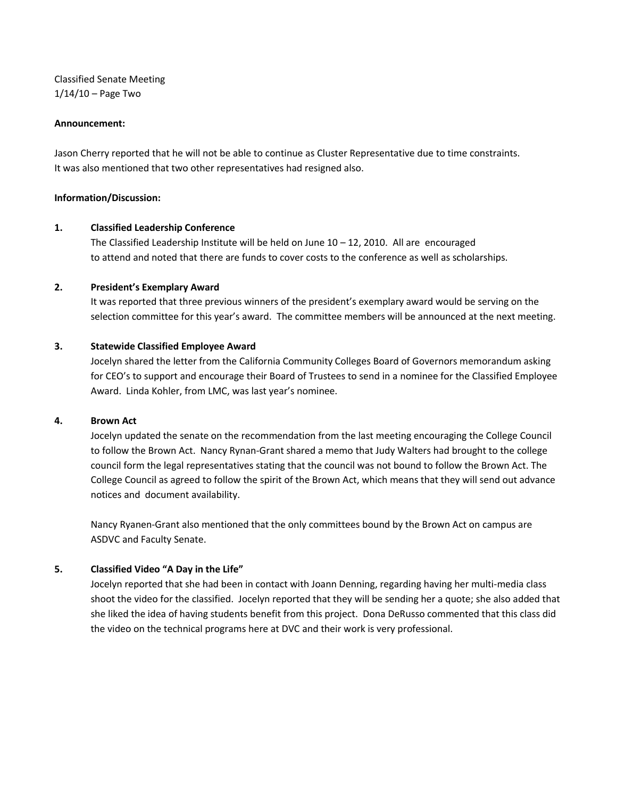Classified Senate Meeting  $1/14/10 -$  Page Two

#### **Announcement:**

Jason Cherry reported that he will not be able to continue as Cluster Representative due to time constraints. It was also mentioned that two other representatives had resigned also.

#### **Information/Discussion:**

#### **1. Classified Leadership Conference**

The Classified Leadership Institute will be held on June  $10 - 12$ , 2010. All are encouraged to attend and noted that there are funds to cover costs to the conference as well as scholarships.

#### **2. President's Exemplary Award**

It was reported that three previous winners of the president's exemplary award would be serving on the selection committee for this year's award. The committee members will be announced at the next meeting.

#### **3. Statewide Classified Employee Award**

Jocelyn shared the letter from the California Community Colleges Board of Governors memorandum asking for CEO's to support and encourage their Board of Trustees to send in a nominee for the Classified Employee Award. Linda Kohler, from LMC, was last year's nominee.

#### **4. Brown Act**

Jocelyn updated the senate on the recommendation from the last meeting encouraging the College Council to follow the Brown Act. Nancy Rynan-Grant shared a memo that Judy Walters had brought to the college council form the legal representatives stating that the council was not bound to follow the Brown Act. The College Council as agreed to follow the spirit of the Brown Act, which means that they will send out advance notices and document availability.

Nancy Ryanen-Grant also mentioned that the only committees bound by the Brown Act on campus are ASDVC and Faculty Senate.

## **5. Classified Video "A Day in the Life"**

Jocelyn reported that she had been in contact with Joann Denning, regarding having her multi-media class shoot the video for the classified. Jocelyn reported that they will be sending her a quote; she also added that she liked the idea of having students benefit from this project. Dona DeRusso commented that this class did the video on the technical programs here at DVC and their work is very professional.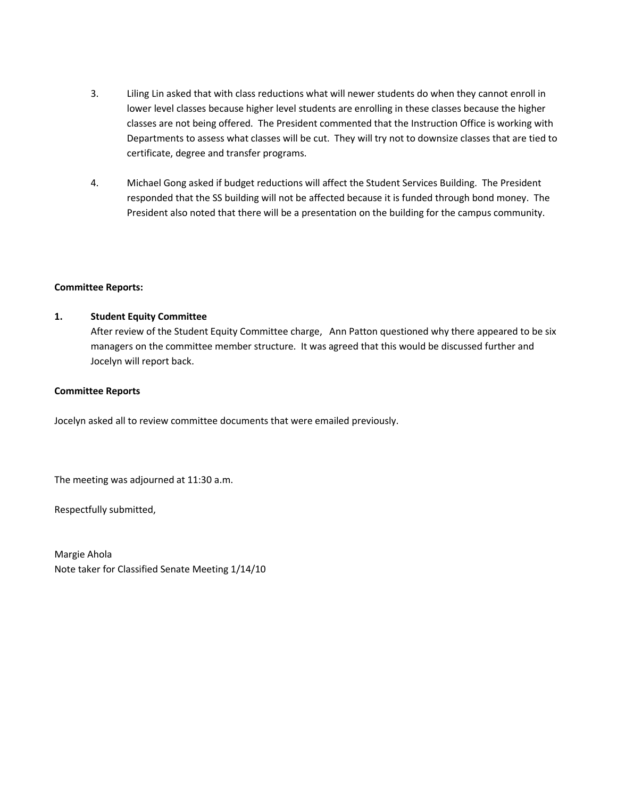- 3. Liling Lin asked that with class reductions what will newer students do when they cannot enroll in lower level classes because higher level students are enrolling in these classes because the higher classes are not being offered. The President commented that the Instruction Office is working with Departments to assess what classes will be cut. They will try not to downsize classes that are tied to certificate, degree and transfer programs.
- 4. Michael Gong asked if budget reductions will affect the Student Services Building. The President responded that the SS building will not be affected because it is funded through bond money. The President also noted that there will be a presentation on the building for the campus community.

## **Committee Reports:**

## **1. Student Equity Committee**

After review of the Student Equity Committee charge, Ann Patton questioned why there appeared to be six managers on the committee member structure. It was agreed that this would be discussed further and Jocelyn will report back.

## **Committee Reports**

Jocelyn asked all to review committee documents that were emailed previously.

The meeting was adjourned at 11:30 a.m.

Respectfully submitted,

Margie Ahola Note taker for Classified Senate Meeting 1/14/10